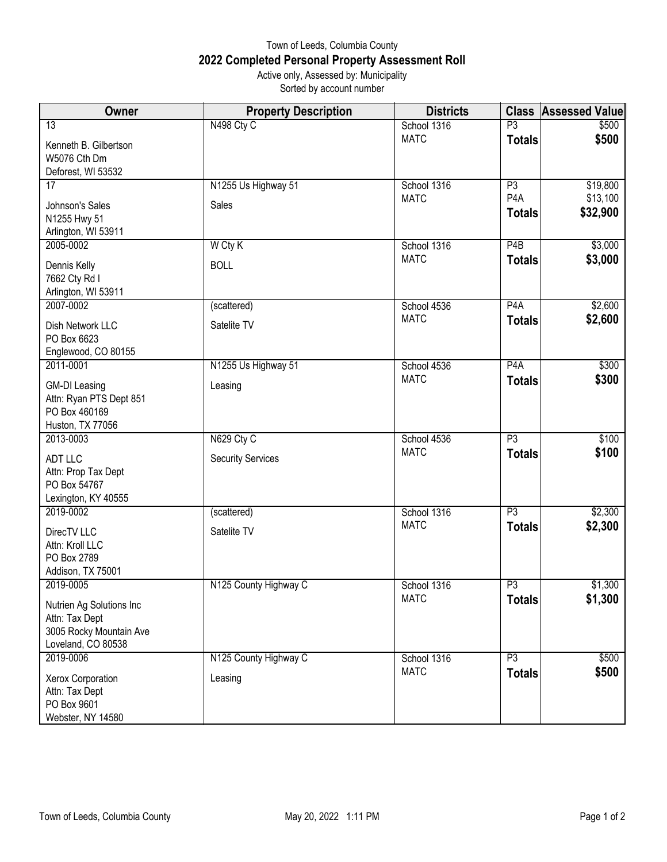## Town of Leeds, Columbia County **2022 Completed Personal Property Assessment Roll** Active only, Assessed by: Municipality

Sorted by account number

| Owner                                                                                       | <b>Property Description</b> | <b>Districts</b> | <b>Class</b>                      | <b>Assessed Value</b> |
|---------------------------------------------------------------------------------------------|-----------------------------|------------------|-----------------------------------|-----------------------|
| 13                                                                                          | N498 Cty C                  | School 1316      | $\overline{P}3$                   | \$500                 |
| Kenneth B. Gilbertson<br>W5076 Cth Dm<br>Deforest, WI 53532                                 |                             | <b>MATC</b>      | <b>Totals</b>                     | \$500                 |
| 17                                                                                          | N1255 Us Highway 51         | School 1316      | P3                                | \$19,800              |
| Johnson's Sales<br>N1255 Hwy 51<br>Arlington, WI 53911                                      | Sales                       | <b>MATC</b>      | P <sub>4</sub> A<br><b>Totals</b> | \$13,100<br>\$32,900  |
| 2005-0002                                                                                   | W Cty K                     | School 1316      | P4B                               | \$3,000               |
| Dennis Kelly<br>7662 Cty Rd I<br>Arlington, WI 53911                                        | <b>BOLL</b>                 | <b>MATC</b>      | <b>Totals</b>                     | \$3,000               |
| 2007-0002                                                                                   | (scattered)                 | School 4536      | P <sub>4</sub> A                  | \$2,600               |
| Dish Network LLC<br>PO Box 6623<br>Englewood, CO 80155                                      | Satelite TV                 | <b>MATC</b>      | <b>Totals</b>                     | \$2,600               |
| 2011-0001                                                                                   | N1255 Us Highway 51         | School 4536      | P <sub>4</sub> A                  | \$300                 |
| <b>GM-DI Leasing</b><br>Attn: Ryan PTS Dept 851<br>PO Box 460169<br>Huston, TX 77056        | Leasing                     | <b>MATC</b>      | <b>Totals</b>                     | \$300                 |
| 2013-0003                                                                                   | N629 Cty C                  | School 4536      | $\overline{P3}$                   | \$100                 |
| ADT LLC<br>Attn: Prop Tax Dept<br>PO Box 54767<br>Lexington, KY 40555                       | <b>Security Services</b>    | <b>MATC</b>      | <b>Totals</b>                     | \$100                 |
| 2019-0002                                                                                   | (scattered)                 | School 1316      | $\overline{P3}$                   | \$2,300               |
| DirecTV LLC<br>Attn: Kroll LLC<br>PO Box 2789<br>Addison, TX 75001                          | Satelite TV                 | <b>MATC</b>      | <b>Totals</b>                     | \$2,300               |
| 2019-0005                                                                                   | N125 County Highway C       | School 1316      | P3                                | \$1,300               |
| Nutrien Ag Solutions Inc<br>Attn: Tax Dept<br>3005 Rocky Mountain Ave<br>Loveland, CO 80538 |                             | <b>MATC</b>      | <b>Totals</b>                     | \$1,300               |
| 2019-0006                                                                                   | N125 County Highway C       | School 1316      | $\overline{P3}$                   | \$500                 |
| Xerox Corporation<br>Attn: Tax Dept<br>PO Box 9601<br>Webster, NY 14580                     | Leasing                     | <b>MATC</b>      | <b>Totals</b>                     | \$500                 |